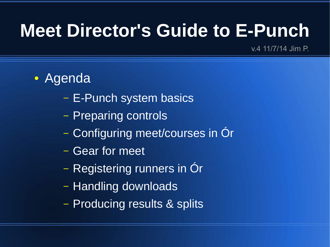#### **Meet Director's Guide to E-Punch**

v.4 11/7/14 Jim P.

- Agenda
	- E-Punch system basics
	- Preparing controls
	- Configuring meet/courses in Ór
	- Gear for meet
	- Registering runners in Ór
	- Handling downloads
	- Producing results & splits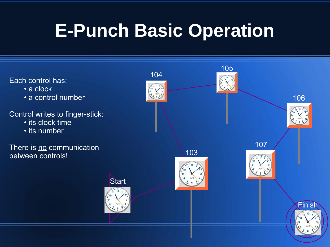## **E-Punch Basic Operation**

Each control has:

- a clock
- a control number

Control writes to finger-stick:

- its clock time
- its number

There is no communication between controls!

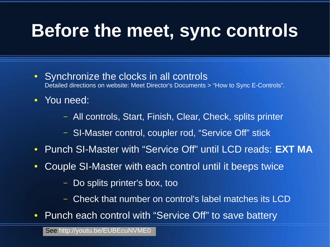#### **Before the meet, sync controls**

- Synchronize the clocks in all controls Detailed directions on website: Meet Director's Documents > "How to Sync E-Controls".
- You need:
	- All controls, Start, Finish, Clear, Check, splits printer
	- SI-Master control, coupler rod, "Service Off" stick
- Punch SI-Master with "Service Off" until LCD reads: **EXT MA**
- Couple SI-Master with each control until it beeps twice
	- Do splits printer's box, too
	- Check that number on control's label matches its LCD
- Punch each control with "Service Off" to save battery

See <http://youtu.be/EUBEcuNVME0>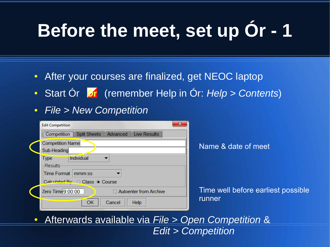## **Before the meet, set up Or - 1**

- After your courses are finalized, get NEOC laptop
- Start Ór **Dr** (remember Help in Ór: *Help > Contents*)
- *File > New Competition*

| $\mathbf{x}$<br><b>Edit Competition</b>                                                                 |                                              |  |
|---------------------------------------------------------------------------------------------------------|----------------------------------------------|--|
| <b>Split Sheets</b><br><b>Live Results</b><br>Competition<br>Advanced                                   |                                              |  |
| <b>Competition Name</b><br>Sub-Heading                                                                  | Name & date of meet                          |  |
| Individual<br>Type<br><b>Results</b><br><b>Time Format</b><br>mmm:ss<br>Calculated By: C Class @ Course |                                              |  |
| Zero Time 9:00:00<br>Autoenter from Archive<br>OK<br>Help<br>Cancel                                     | Time well before earliest possible<br>runner |  |

● Afterwards available via *File > Open Competition* & *Edit > Competition*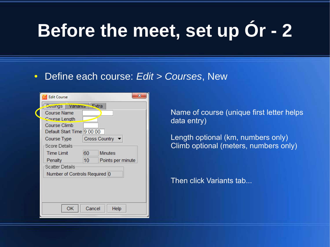## **Before the meet, set up Ór - 2**

#### ● Define each course: *Edit > Courses*, New

| <b>Edit Course</b>            |           |                      | $\mathbf{x}$      |  |
|-------------------------------|-----------|----------------------|-------------------|--|
| Settings                      | Variants  | <u> √⊏xtra</u>       |                   |  |
| <b>Course Name</b>            |           |                      |                   |  |
| <b>Course Length</b>          |           |                      |                   |  |
| Course Climb                  |           |                      |                   |  |
| Default Start Time 9:00:00    |           |                      |                   |  |
| Course Type                   |           | <b>Cross Country</b> |                   |  |
| Score Details:                |           |                      |                   |  |
| <b>Time Limit</b>             |           | 60                   | <b>Minutes</b>    |  |
| Penalty                       |           | 10                   | Points per minute |  |
| <b>Scatter Details</b>        |           |                      |                   |  |
| Number of Controls Required 0 |           |                      |                   |  |
|                               |           |                      |                   |  |
|                               |           |                      |                   |  |
|                               |           |                      |                   |  |
|                               |           |                      |                   |  |
|                               | <b>OK</b> | Cancel               | Help              |  |

Name of course (unique first letter helps data entry)

Length optional (km, numbers only) Climb optional (meters, numbers only)

Then click Variants tab...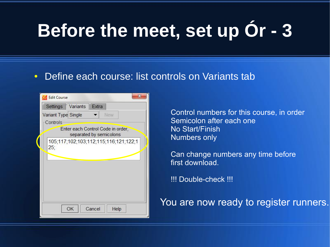## **Before the meet, set up Ór - 3**

#### • Define each course: list controls on Variants tab

|                            | Coll Edit Course                                             |  |  |  |  |  |
|----------------------------|--------------------------------------------------------------|--|--|--|--|--|
|                            | Settings Variants<br>Extra                                   |  |  |  |  |  |
| Variant Type Single<br>New |                                                              |  |  |  |  |  |
|                            | Controls                                                     |  |  |  |  |  |
|                            | Enter each Control Code in order,<br>separated by semicolons |  |  |  |  |  |
|                            | 105;117;102;103;112;115;116;121;122;1<br>25;                 |  |  |  |  |  |
|                            |                                                              |  |  |  |  |  |
|                            |                                                              |  |  |  |  |  |
|                            |                                                              |  |  |  |  |  |
|                            |                                                              |  |  |  |  |  |
|                            |                                                              |  |  |  |  |  |
|                            |                                                              |  |  |  |  |  |
|                            | OK<br>Cancel<br>Help                                         |  |  |  |  |  |
|                            |                                                              |  |  |  |  |  |

Control numbers for this course, in order Semicolon after each one No Start/Finish Numbers only

Can change numbers any time before first download.

!!! Double-check !!!

You are now ready to register runners.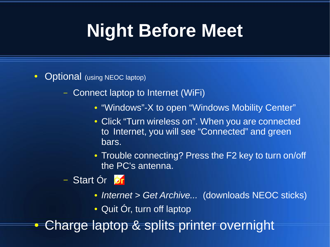## **Night Before Meet**

- Optional (using NEOC laptop)
	- Connect laptop to Internet (WiFi)
		- "Windows"-X to open "Windows Mobility Center"
		- Click "Turn wireless on". When you are connected to Internet, you will see "Connected" and green bars.
		- Trouble connecting? Press the F2 key to turn on/off the PC's antenna.

#### – Start Ór

- *Internet > Get Archive...* (downloads NEOC sticks)
- Quit Ór, turn off laptop
- Charge laptop & splits printer overnight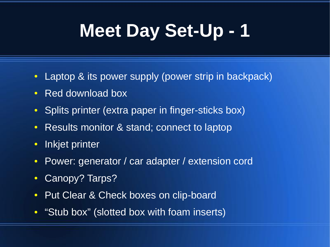## **Meet Day Set-Up - 1**

- Laptop & its power supply (power strip in backpack)
- Red download box
- Splits printer (extra paper in finger-sticks box)
- Results monitor & stand; connect to laptop
- Inkjet printer
- Power: generator / car adapter / extension cord
- Canopy? Tarps?
- Put Clear & Check boxes on clip-board
- "Stub box" (slotted box with foam inserts)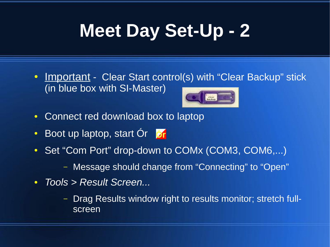## **Meet Day Set-Up - 2**

- Important Clear Start control(s) with "Clear Backup" stick (in blue box with SI-Master)
- Connect red download box to laptop
- Boot up laptop, start Ór
- Set "Com Port" drop-down to COMx (COM3, COM6,...)
	- Message should change from "Connecting" to "Open"
- *Tools > Result Screen...*
	- Drag Results window right to results monitor; stretch fullscreen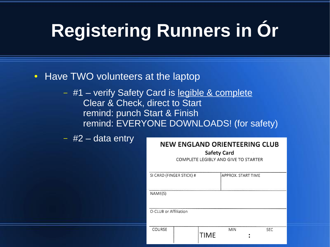## **Registering Runners in Ór**

- Have TWO volunteers at the laptop
	- #1 verify Safety Card is legible & complete Clear & Check, direct to Start remind: punch Start & Finish remind: EVERYONE DOWNLOADS! (for safety)

 $-$  #2 – data entry

#### NEW ENGLAND ORIENTEERING CLUB

**Safety Card** 

COMPLETE LEGIBLY AND GIVE TO STARTER

| SI CARD (FINGER STICK) # |  |             | APPROX. START TIME |            |  |  |
|--------------------------|--|-------------|--------------------|------------|--|--|
| NAME(S)                  |  |             |                    |            |  |  |
| O-CLUB or Affiliation    |  |             |                    |            |  |  |
| <b>COURSE</b>            |  | <b>TIME</b> | <b>MIN</b>         | <b>SEC</b> |  |  |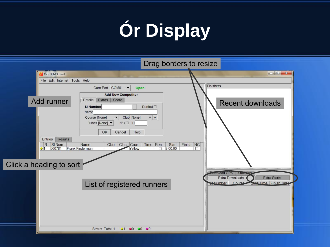# **Ór Display**

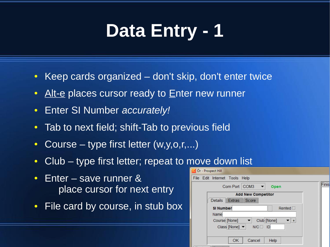#### **Data Entry - 1**

- Keep cards organized don't skip, don't enter twice
- Alt-e places cursor ready to Enter new runner
- Enter SI Number *accurately!*
- Tab to next field; shift-Tab to previous field
- Course type first letter  $(w, y, o, r, ...)$
- Club type first letter; repeat to move down list
- Enter save runner  $&$ place cursor for next entry
- File card by course, in stub box

| Finis |
|-------|
|       |
|       |
|       |
|       |
|       |
|       |
|       |
|       |
|       |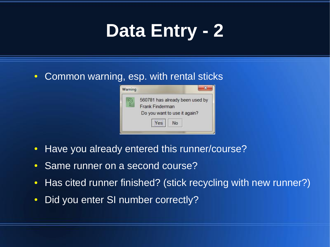## **Data Entry - 2**

#### • Common warning, esp. with rental sticks



- Have you already entered this runner/course?
- Same runner on a second course?
- Has cited runner finished? (stick recycling with new runner?)
- Did you enter SI number correctly?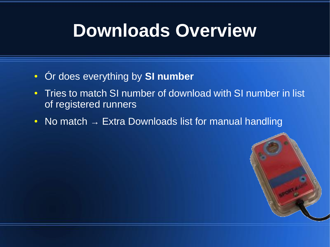#### **Downloads Overview**

- Ór does everything by **SI number**
- Tries to match SI number of download with SI number in list of registered runners
- No match  $\rightarrow$  Extra Downloads list for manual handling

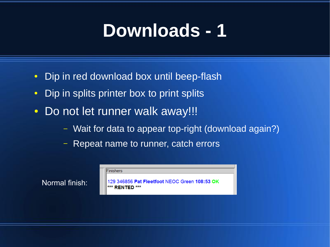#### **Downloads - 1**

- Dip in red download box until beep-flash
- Dip in splits printer box to print splits
- Do not let runner walk away!!!

Normal finish:

- Wait for data to appear top-right (download again?)
- Repeat name to runner, catch errors

| Finishers                                     |
|-----------------------------------------------|
|                                               |
| 129 346856 Pat Fleetfoot NEOC Green 108:53 OK |
| *** RENTED ***                                |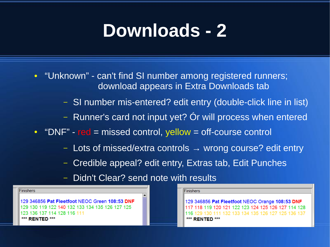#### **Downloads - 2**

- "Unknown" can't find SI number among registered runners; download appears in Extra Downloads tab
	- SI number mis-entered? edit entry (double-click line in list)
	- Runner's card not input yet? Ór will process when entered
- "DNF" red = missed control, yellow = off-course control
	- Lots of missed/extra controls  $\rightarrow$  wrong course? edit entry
	- Credible appeal? edit entry, Extras tab, Edit Punches
	- Didn't Clear? send note with results

Finishers

129 346856 Pat Fleetfoot NEOC Green 108:53 DNF 129 130 119 122 140 132 133 134 135 126 127 125 123 136 137 114 128 116 111 \*\*\* RENTED \*\*\*

lFinishers

129 346856 Pat Fleetfoot NEOC Orange 108:53 DNF 117 118 119 120 121 122 123 124 125 126 127 114 128 130 111 132 133 134 135 126 127 125 136 137 \*\*\* RENTED \*\*\*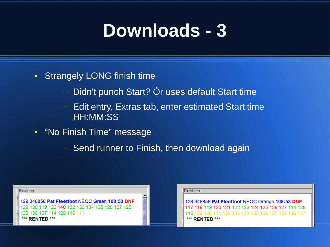#### **Downloads - 3**

- Strangely LONG finish time
	- Didn't punch Start? Ór uses default Start time
	- Edit entry, Extras tab, enter estimated Start time HH:MM:SS
- "No Finish Time" message
	- Send runner to Finish, then download again

| Finishers                                       |  |
|-------------------------------------------------|--|
| 129 346856 Pat Fleetfoot NEOC Green 108:53 DNF  |  |
| 129 130 119 122 140 132 133 134 135 126 127 125 |  |
| 123 136 137 114 128 116 111                     |  |
| *** RENTED ***                                  |  |
|                                                 |  |

#### Finishers

129 346856 Pat Fleetfoot NEOC Orange 108:53 DNF 118 119 120 121 122 123 124 125 126 127 114 128 111 132 133 134 135 126 127 125 136 137 \*\*\* RENTED \*\*\*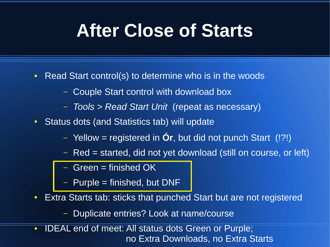#### **After Close of Starts**

- Read Start control(s) to determine who is in the woods
	- Couple Start control with download box
	- *Tools > Read Start Unit* (repeat as necessary)
- Status dots (and Statistics tab) will update
	- Yellow = registered in **Ór**, but did not punch Start (!?!)
	- Red = started, did not yet download (still on course, or left)
	- Green  $=$  finished OK
	- Purple = finished, but DNF
- Extra Starts tab: sticks that punched Start but are not registered
	- Duplicate entries? Look at name/course
- **IDEAL end of meet: All status dots Green or Purple;** no Extra Downloads, no Extra Starts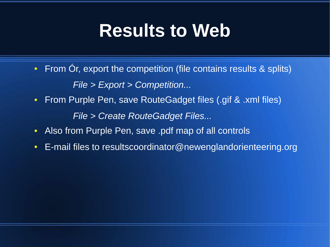#### **Results to Web**

- From Or, export the competition (file contains results & splits) *File > Export > Competition...*
- From Purple Pen, save RouteGadget files (.gif & .xml files) *File > Create RouteGadget Files...*
- Also from Purple Pen, save .pdf map of all controls
- E-mail files to resultscoordinator@newenglandorienteering.org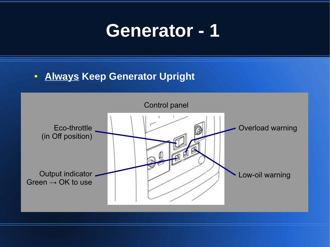#### **Generator - 1**

#### **• Always Keep Generator Upright**

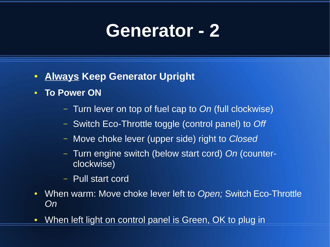#### **Generator - 2**

- **Always Keep Generator Upright**
- **To Power ON**
	- Turn lever on top of fuel cap to *On* (full clockwise)
	- Switch Eco-Throttle toggle (control panel) to *Off*
	- Move choke lever (upper side) right to *Closed*
	- Turn engine switch (below start cord) *On* (counterclockwise)
	- Pull start cord
- When warm: Move choke lever left to *Open;* Switch Eco-Throttle *On*
- When left light on control panel is Green, OK to plug in